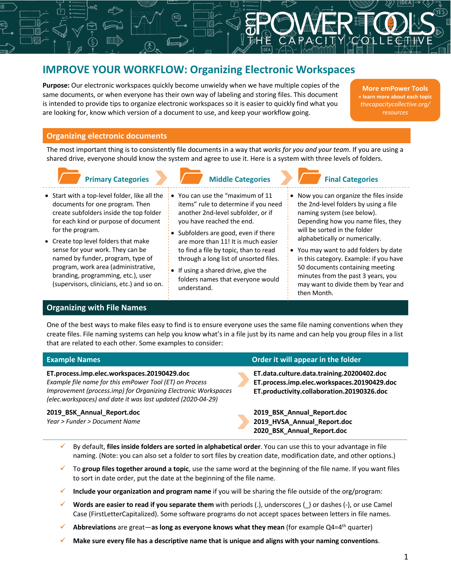# **IMPROVE YOUR WORKFLOW: Organizing Electronic Workspaces**

**Purpose:** Our electronic workspaces quickly become unwieldy when we have multiple copies of the same documents, or when everyone has their own way of labeling and storing files. This document is intended to provide tips to organize electronic workspaces so it is easier to quickly find what you are looking for, know which version of a document to use, and keep your workflow going.

**More emPower Tools + learn more about each topic** *thecapacitycollective.org/*

## **Organizing electronic documents**

The most important thing is to consistently file documents in a way that *works for you and your team*. If you are using a shared drive, everyone should know the system and agree to use it. Here is a system with three levels of folders.

# **Primary Categories Middle Categories**

- Start with a top-level folder, like all the documents for one program. Then create subfolders inside the top folder for each kind or purpose of document for the program.
- Create top level folders that make sense for your work. They can be named by funder, program, type of program, work area (administrative, branding, programming, etc.), user (supervisors, clinicians, etc.) and so on.

## **Organizing with File Names**

- You can use the "maximum of 11 items" rule to determine if you need another 2nd-level subfolder, or if you have reached the end.
- Subfolders are good, even if there are more than 11! It is much easier to find a file by topic, than to read through a long list of unsorted files.
- If using a shared drive, give the folders names that everyone would understand.

# **Final Categories**

- Now you can organize the files inside the 2nd-level folders by using a file naming system (see below). Depending how you name files, they will be sorted in the folder alphabetically or numerically.
- You may want to add folders by date in this category. Example: if you have 50 documents containing meeting minutes from the past 3 years, you may want to divide them by Year and then Month.

One of the best ways to make files easy to find is to ensure everyone uses the same file naming conventions when they create files. File naming systems can help you know what's in a file just by its name and can help you group files in a list that are related to each other. Some examples to consider:

### **ET.process.imp.elec.workspaces.20190429.doc ET.data.culture.data.training.20200402.doc** *Example file name for this emPower Tool (ET) on Process*

*Improvement (process.imp) for Organizing Electronic Workspaces (elec.workspaces) and date it was last updated (2020-04-29)*

## **2019\_BSK\_Annual\_Report.doc 2019\_BSK\_Annual\_Report.doc**

*Year > Funder > Document Name*

## **Example Names Order it will appear in the folder**

**ET.process.imp.elec.workspaces.20190429.doc ET.productivity.collaboration.20190326.doc**

**2019\_HVSA\_Annual\_Report.doc 2020\_BSK\_Annual\_Report.doc**

- ü By default, **files inside folders are sorted in alphabetical order**. You can use this to your advantage in file naming. (Note: you can also set a folder to sort files by creation date, modification date, and other options.)
- ü To **group files together around a topic**, use the same word at the beginning of the file name. If you want files to sort in date order, put the date at the beginning of the file name.
- ü **Include your organization and program name** if you will be sharing the file outside of the org/program:
- Words are easier to read if you separate them with periods (.), underscores (\_) or dashes (-), or use Camel Case (FirstLetterCapitalized). Some software programs do not accept spaces between letters in file names.
- ü **Abbreviations** are great—**as long as everyone knows what they mean** (for example Q4=4th quarter)
- ü **Make sure every file has a descriptive name that is unique and aligns with your naming conventions**.